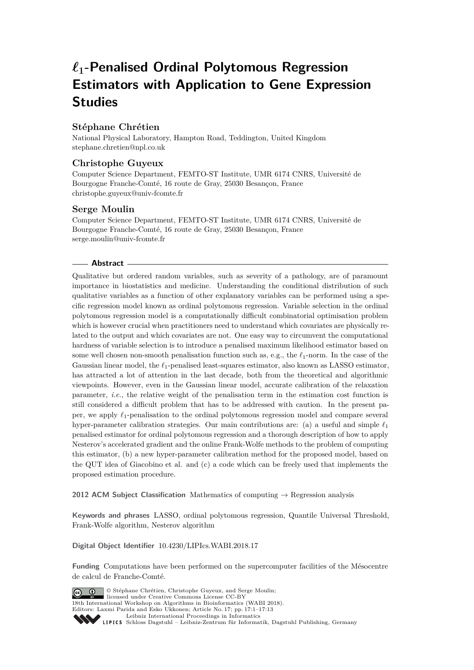# *`***1-Penalised Ordinal Polytomous Regression Estimators with Application to Gene Expression Studies**

# **Stéphane Chrétien**

National Physical Laboratory, Hampton Road, Teddington, United Kingdom [stephane.chretien@npl.co.uk](mailto:stephane.chretien@npl.co.uk)

# **Christophe Guyeux**

Computer Science Department, FEMTO-ST Institute, UMR 6174 CNRS, Université de Bourgogne Franche-Comté, 16 route de Gray, 25030 Besançon, France [christophe.guyeux@univ-fcomte.fr](mailto:christophe.guyeux@univ-fcomte.fr)

## **Serge Moulin**

Computer Science Department, FEMTO-ST Institute, UMR 6174 CNRS, Université de Bourgogne Franche-Comté, 16 route de Gray, 25030 Besançon, France [serge.moulin@univ-fcomte.fr](mailto:serge.moulin@univ-fcomte.fr)

## **Abstract**

Qualitative but ordered random variables, such as severity of a pathology, are of paramount importance in biostatistics and medicine. Understanding the conditional distribution of such qualitative variables as a function of other explanatory variables can be performed using a specific regression model known as ordinal polytomous regression. Variable selection in the ordinal polytomous regression model is a computationally difficult combinatorial optimisation problem which is however crucial when practitioners need to understand which covariates are physically related to the output and which covariates are not. One easy way to circumvent the computational hardness of variable selection is to introduce a penalised maximum likelihood estimator based on some well chosen non-smooth penalisation function such as, e.g., the  $\ell_1$ -norm. In the case of the Gaussian linear model, the  $\ell_1$ -penalised least-squares estimator, also known as LASSO estimator, has attracted a lot of attention in the last decade, both from the theoretical and algorithmic viewpoints. However, even in the Gaussian linear model, accurate calibration of the relaxation parameter, *i.e.*, the relative weight of the penalisation term in the estimation cost function is still considered a difficult problem that has to be addressed with caution. In the present paper, we apply  $\ell_1$ -penalisation to the ordinal polytomous regression model and compare several hyper-parameter calibration strategies. Our main contributions are: (a) a useful and simple  $\ell_1$ penalised estimator for ordinal polytomous regression and a thorough description of how to apply Nesterov's accelerated gradient and the online Frank-Wolfe methods to the problem of computing this estimator, (b) a new hyper-parameter calibration method for the proposed model, based on the QUT idea of Giacobino et al. and (c) a code which can be freely used that implements the proposed estimation procedure.

**2012 ACM Subject Classification** Mathematics of computing → Regression analysis

**Keywords and phrases** LASSO, ordinal polytomous regression, Quantile Universal Threshold, Frank-Wolfe algorithm, Nesterov algorithm

**Digital Object Identifier** [10.4230/LIPIcs.WABI.2018.17](http://dx.doi.org/10.4230/LIPIcs.WABI.2018.17)

**Funding** Computations have been performed on the supercomputer facilities of the Mésocentre de calcul de Franche-Comté.



© Stéphane Chrétien, Christophe Guyeux, and Serge Moulin; licensed under Creative Commons License CC-BY 18th International Workshop on Algorithms in Bioinformatics (WABI 2018). Editors: Laxmi Parida and Esko Ukkonen; Article No. 17; pp. 17:1–17[:13](#page-12-0)

[Leibniz International Proceedings in Informatics](http://www.dagstuhl.de/lipics/) [Schloss Dagstuhl – Leibniz-Zentrum für Informatik, Dagstuhl Publishing, Germany](http://www.dagstuhl.de)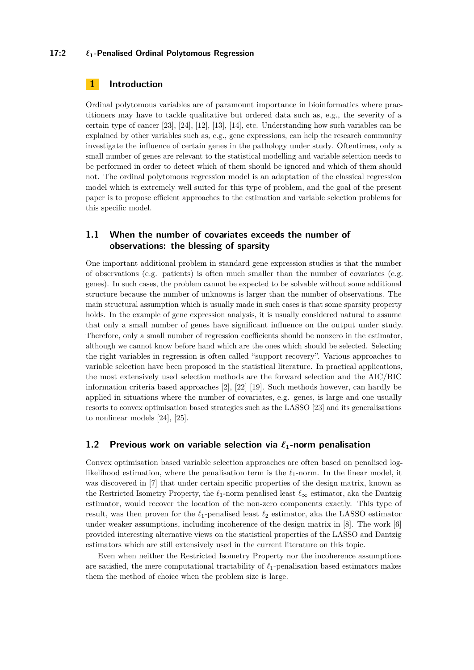#### **17:2** *`***1-Penalised Ordinal Polytomous Regression**

## **1 Introduction**

Ordinal polytomous variables are of paramount importance in bioinformatics where practitioners may have to tackle qualitative but ordered data such as, e.g., the severity of a certain type of cancer [\[23\]](#page-12-1), [\[24\]](#page-12-2), [\[12\]](#page-11-0), [\[13\]](#page-11-1), [\[14\]](#page-11-2), etc. Understanding how such variables can be explained by other variables such as, e.g., gene expressions, can help the research community investigate the influence of certain genes in the pathology under study. Oftentimes, only a small number of genes are relevant to the statistical modelling and variable selection needs to be performed in order to detect which of them should be ignored and which of them should not. The ordinal polytomous regression model is an adaptation of the classical regression model which is extremely well suited for this type of problem, and the goal of the present paper is to propose efficient approaches to the estimation and variable selection problems for this specific model.

# **1.1 When the number of covariates exceeds the number of observations: the blessing of sparsity**

One important additional problem in standard gene expression studies is that the number of observations (e.g. patients) is often much smaller than the number of covariates (e.g. genes). In such cases, the problem cannot be expected to be solvable without some additional structure because the number of unknowns is larger than the number of observations. The main structural assumption which is usually made in such cases is that some sparsity property holds. In the example of gene expression analysis, it is usually considered natural to assume that only a small number of genes have significant influence on the output under study. Therefore, only a small number of regression coefficients should be nonzero in the estimator, although we cannot know before hand which are the ones which should be selected. Selecting the right variables in regression is often called "support recovery". Various approaches to variable selection have been proposed in the statistical literature. In practical applications, the most extensively used selection methods are the forward selection and the AIC/BIC information criteria based approaches [\[2\]](#page-11-3), [\[22\]](#page-11-4) [\[19\]](#page-11-5). Such methods however, can hardly be applied in situations where the number of covariates, e.g. genes, is large and one usually resorts to convex optimisation based strategies such as the LASSO [\[23\]](#page-12-1) and its generalisations to nonlinear models [\[24\]](#page-12-2), [\[25\]](#page-12-3).

## **1.2 Previous work on variable selection via**  $\ell_1$ **-norm penalisation**

Convex optimisation based variable selection approaches are often based on penalised loglikelihood estimation, where the penalisation term is the  $\ell_1$ -norm. In the linear model, it was discovered in [\[7\]](#page-11-6) that under certain specific properties of the design matrix, known as the Restricted Isometry Property, the  $\ell_1$ -norm penalised least  $\ell_{\infty}$  estimator, aka the Dantzig estimator, would recover the location of the non-zero components exactly. This type of result, was then proven for the  $\ell_1$ -penalised least  $\ell_2$  estimator, aka the LASSO estimator under weaker assumptions, including incoherence of the design matrix in [\[8\]](#page-11-7). The work [\[6\]](#page-11-8) provided interesting alternative views on the statistical properties of the LASSO and Dantzig estimators which are still extensively used in the current literature on this topic.

Even when neither the Restricted Isometry Property nor the incoherence assumptions are satisfied, the mere computational tractability of  $\ell_1$ -penalisation based estimators makes them the method of choice when the problem size is large.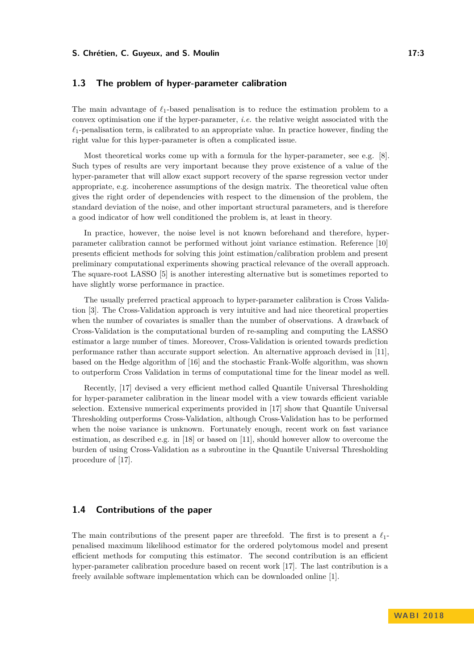#### **S. Chrétien, C. Guyeux, and S. Moulin 17:3**

## **1.3 The problem of hyper-parameter calibration**

The main advantage of  $\ell_1$ -based penalisation is to reduce the estimation problem to a convex optimisation one if the hyper-parameter, *i.e.* the relative weight associated with the  $\ell_1$ -penalisation term, is calibrated to an appropriate value. In practice however, finding the right value for this hyper-parameter is often a complicated issue.

Most theoretical works come up with a formula for the hyper-parameter, see e.g. [\[8\]](#page-11-7). Such types of results are very important because they prove existence of a value of the hyper-parameter that will allow exact support recovery of the sparse regression vector under appropriate, e.g. incoherence assumptions of the design matrix. The theoretical value often gives the right order of dependencies with respect to the dimension of the problem, the standard deviation of the noise, and other important structural parameters, and is therefore a good indicator of how well conditioned the problem is, at least in theory.

In practice, however, the noise level is not known beforehand and therefore, hyperparameter calibration cannot be performed without joint variance estimation. Reference [\[10\]](#page-11-9) presents efficient methods for solving this joint estimation/calibration problem and present preliminary computational experiments showing practical relevance of the overall approach. The square-root LASSO [\[5\]](#page-11-10) is another interesting alternative but is sometimes reported to have slightly worse performance in practice.

The usually preferred practical approach to hyper-parameter calibration is Cross Validation [\[3\]](#page-11-11). The Cross-Validation approach is very intuitive and had nice theoretical properties when the number of covariates is smaller than the number of observations. A drawback of Cross-Validation is the computational burden of re-sampling and computing the LASSO estimator a large number of times. Moreover, Cross-Validation is oriented towards prediction performance rather than accurate support selection. An alternative approach devised in [\[11\]](#page-11-12), based on the Hedge algorithm of [\[16\]](#page-11-13) and the stochastic Frank-Wolfe algorithm, was shown to outperform Cross Validation in terms of computational time for the linear model as well.

Recently, [\[17\]](#page-11-14) devised a very efficient method called Quantile Universal Thresholding for hyper-parameter calibration in the linear model with a view towards efficient variable selection. Extensive numerical experiments provided in [\[17\]](#page-11-14) show that Quantile Universal Thresholding outperforms Cross-Validation, although Cross-Validation has to be performed when the noise variance is unknown. Fortunately enough, recent work on fast variance estimation, as described e.g. in [\[18\]](#page-11-15) or based on [\[11\]](#page-11-12), should however allow to overcome the burden of using Cross-Validation as a subroutine in the Quantile Universal Thresholding procedure of [\[17\]](#page-11-14).

# **1.4 Contributions of the paper**

The main contributions of the present paper are threefold. The first is to present a  $\ell_1$ penalised maximum likelihood estimator for the ordered polytomous model and present efficient methods for computing this estimator. The second contribution is an efficient hyper-parameter calibration procedure based on recent work [\[17\]](#page-11-14). The last contribution is a freely available software implementation which can be downloaded online [\[1\]](#page-11-16).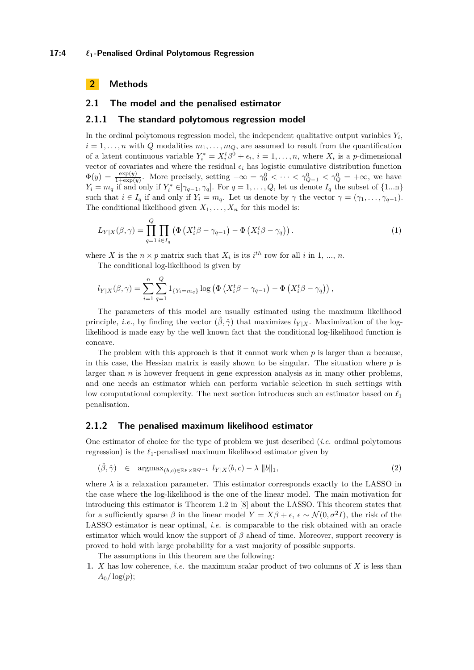## **2 Methods**

## **2.1 The model and the penalised estimator**

#### **2.1.1 The standard polytomous regression model**

In the ordinal polytomous regression model, the independent qualitative output variables *Y<sup>i</sup>* ,  $i = 1, \ldots, n$  with *Q* modalities  $m_1, \ldots, m_Q$ , are assumed to result from the quantification of a latent continuous variable  $Y_i^* = X_i^t \beta^0 + \epsilon_i$ ,  $i = 1, ..., n$ , where  $X_i$  is a *p*-dimensional vector of covariates and where the residual  $\epsilon_i$  has logistic cumulative distribution function  $\Phi(y) = \frac{\exp(y)}{1+\exp(y)}$ . More precisely, setting  $-\infty = \gamma_0^0 < \cdots < \gamma_{Q-1}^0 < \gamma_Q^0 = +\infty$ , we have  $Y_i = m_q$  if and only if  $Y_i^* \in ]\gamma_{q-1}, \gamma_q]$ . For  $q = 1, \ldots, Q$ , let us denote  $I_q$  the subset of  $\{1...n\}$ such that  $i \in I_q$  if and only if  $Y_i = m_q$ . Let us denote by  $\gamma$  the vector  $\gamma = (\gamma_1, \ldots, \gamma_{q-1})$ . The conditional likelihood given  $X_1, \ldots, X_n$  for this model is:

$$
L_{Y|X}(\beta,\gamma) = \prod_{q=1}^{Q} \prod_{i \in I_q} \left( \Phi \left( X_i^t \beta - \gamma_{q-1} \right) - \Phi \left( X_i^t \beta - \gamma_q \right) \right). \tag{1}
$$

where *X* is the  $n \times p$  matrix such that  $X_i$  is its  $i^{th}$  row for all *i* in 1, ..., *n*.

The conditional log-likelihood is given by

$$
l_{Y|X}(\beta,\gamma) = \sum_{i=1}^{n} \sum_{q=1}^{Q} 1_{\{Y_i = m_q\}} \log \left( \Phi \left( X_i^t \beta - \gamma_{q-1} \right) - \Phi \left( X_i^t \beta - \gamma_q \right) \right),
$$

The parameters of this model are usually estimated using the maximum likelihood principle, *i.e.*, by finding the vector  $(\hat{\beta}, \hat{\gamma})$  that maximizes  $l_{Y|X}$ . Maximization of the loglikelihood is made easy by the well known fact that the conditional log-likelihood function is concave.

The problem with this approach is that it cannot work when *p* is larger than *n* because, in this case, the Hessian matrix is easily shown to be singular. The situation where *p* is larger than *n* is however frequent in gene expression analysis as in many other problems, and one needs an estimator which can perform variable selection in such settings with low computational complexity. The next section introduces such an estimator based on  $\ell_1$ penalisation.

## <span id="page-3-0"></span>**2.1.2 The penalised maximum likelihood estimator**

One estimator of choice for the type of problem we just described (*i.e.* ordinal polytomous regression) is the  $\ell_1$ -penalised maximum likelihood estimator given by

$$
(\hat{\beta}, \hat{\gamma}) \in \operatorname{argmax}_{(b,c) \in \mathbb{R}^p \times \mathbb{R}^{Q-1}} l_{Y|X}(b,c) - \lambda ||b||_1,
$$
\n(2)

where  $\lambda$  is a relaxation parameter. This estimator corresponds exactly to the LASSO in the case where the log-likelihood is the one of the linear model. The main motivation for introducing this estimator is Theorem 1.2 in [\[8\]](#page-11-7) about the LASSO. This theorem states that for a sufficiently sparse  $\beta$  in the linear model  $Y = X\beta + \epsilon$ ,  $\epsilon \sim \mathcal{N}(0, \sigma^2 I)$ , the risk of the LASSO estimator is near optimal, *i.e.* is comparable to the risk obtained with an oracle estimator which would know the support of  $\beta$  ahead of time. Moreover, support recovery is proved to hold with large probability for a vast majority of possible supports.

The assumptions in this theorem are the following:

**1.** *X* has low coherence, *i.e.* the maximum scalar product of two columns of *X* is less than  $A_0/\log(p);$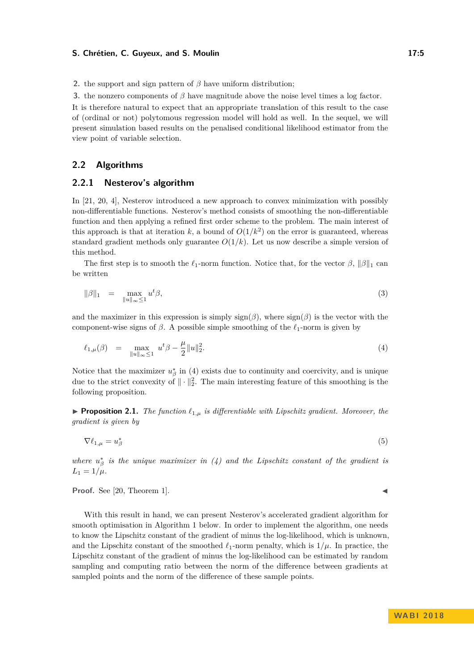#### **S. Chrétien, C. Guyeux, and S. Moulin 17:5 17:5**

**2.** the support and sign pattern of *β* have uniform distribution;

**3.** the nonzero components of *β* have magnitude above the noise level times a log factor.

It is therefore natural to expect that an appropriate translation of this result to the case of (ordinal or not) polytomous regression model will hold as well. In the sequel, we will present simulation based results on the penalised conditional likelihood estimator from the view point of variable selection.

## **2.2 Algorithms**

## **2.2.1 Nesterov's algorithm**

In [\[21,](#page-11-17) [20,](#page-11-18) [4\]](#page-11-19), Nesterov introduced a new approach to convex minimization with possibly non-differentiable functions. Nesterov's method consists of smoothing the non-differentiable function and then applying a refined first order scheme to the problem. The main interest of this approach is that at iteration  $k$ , a bound of  $O(1/k^2)$  on the error is guaranteed, whereas standard gradient methods only guarantee  $O(1/k)$ . Let us now describe a simple version of this method.

The first step is to smooth the  $\ell_1$ -norm function. Notice that, for the vector  $\beta$ ,  $\|\beta\|_1$  can be written

$$
\|\beta\|_1 = \max_{\|u\|_{\infty} \le 1} u^t \beta,\tag{3}
$$

and the maximizer in this expression is simply  $sign(\beta)$ , where  $sign(\beta)$  is the vector with the component-wise signs of  $\beta$ . A possible simple smoothing of the  $\ell_1$ -norm is given by

<span id="page-4-0"></span>
$$
\ell_{1,\mu}(\beta) = \max_{\|u\|_{\infty} \le 1} u^t \beta - \frac{\mu}{2} \|u\|_2^2.
$$
\n(4)

Notice that the maximizer  $u_{\beta}^*$  in [\(4\)](#page-4-0) exists due to continuity and coercivity, and is unique due to the strict convexity of  $\|\cdot\|_2^2$ . The main interesting feature of this smoothing is the following proposition.

**Proposition 2.1.** *The function*  $\ell_{1,\mu}$  *is differentiable with Lipschitz gradient. Moreover, the gradient is given by*

 $\nabla \ell_{1,\mu} = u_{\beta}^*$ (5)

*where*  $u_{\beta}^{*}$  *is the unique maximizer in* [\(4\)](#page-4-0) and the Lipschitz constant of the gradient is  $L_1 = 1/\mu$ .

**Proof.** See  $[20,$  Theorem 1].

With this result in hand, we can present Nesterov's accelerated gradient algorithm for smooth optimisation in Algorithm [1](#page-5-0) below. In order to implement the algorithm, one needs to know the Lipschitz constant of the gradient of minus the log-likelihood, which is unknown, and the Lipschitz constant of the smoothed  $\ell_1$ -norm penalty, which is  $1/\mu$ . In practice, the Lipschitz constant of the gradient of minus the log-likelihood can be estimated by random sampling and computing ratio between the norm of the difference between gradients at sampled points and the norm of the difference of these sample points.

$$
\blacktriangleleft
$$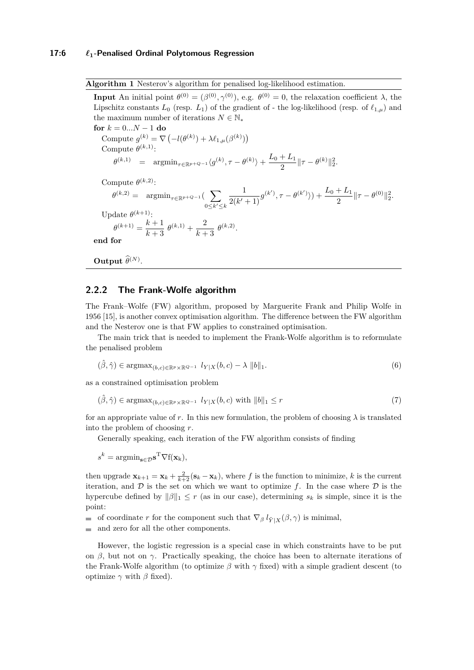<span id="page-5-0"></span>**Algorithm 1** Nesterov's algorithm for penalised log-likelihood estimation.

**Input** An initial point  $\theta^{(0)} = (\beta^{(0)}, \gamma^{(0)})$ , e.g.  $\theta^{(0)} = 0$ , the relaxation coefficient  $\lambda$ , the Lipschitz constants  $L_0$  (resp.  $L_1$ ) of the gradient of - the log-likelihood (resp. of  $\ell_{1,\mu}$ ) and the maximum number of iterations  $N \in \mathbb{N}_*$ **for**  $k = 0...N - 1$  **do** Compute  $g^{(k)} = \nabla \left( -l(\theta^{(k)}) + \lambda \ell_{1,\mu}(\beta^{(k)}) \right)$ Compute  $\theta^{(k,1)}$ :  $\theta^{(k,1)}$  =  $\arg\!\min_{\tau \in \mathbb{R}^{p+Q-1}} \langle g^{(k)}, \tau - \theta^{(k)} \rangle + \frac{L_0 + L_1}{2}$  $\frac{\tau L_1}{2}$  ||  $\tau - \theta^{(k)}$  || $\frac{2}{2}$ . Compute  $\theta^{(k,2)}$ :  $\theta^{(k,2)} = \operatorname{argmin}_{\tau \in \mathbb{R}^{p+Q-1}}(-\sum_{\tau \in \mathbb{R}^{p+Q-1}}$ 0≤ $k'$ ≤ $k$ 1  $\frac{1}{2(k'+1)}g^{(k')}, \tau - \theta^{(k')}) + \frac{L_0 + L_1}{2}\|\tau - \theta^{(0)}\|_2^2.$ Update  $\theta^{(k+1)}$ :  $\theta^{(k+1)} = \frac{k+1}{k+1}$  $\frac{k+1}{k+3} \theta^{(k,1)} + \frac{2}{k+3}$  $\frac{2}{k+3} \theta^{(k,2)}$ . **end for**

**Output**  $\hat{\theta}^{(N)}$ .

#### <span id="page-5-1"></span>**2.2.2 The Frank-Wolfe algorithm**

The Frank–Wolfe (FW) algorithm, proposed by Marguerite Frank and Philip Wolfe in 1956 [\[15\]](#page-11-20), is another convex optimisation algorithm. The difference between the FW algorithm and the Nesterov one is that FW applies to constrained optimisation.

The main trick that is needed to implement the Frank-Wolfe algorithm is to reformulate the penalised problem

$$
(\hat{\beta}, \hat{\gamma}) \in \operatorname{argmax}_{(b,c) \in \mathbb{R}^p \times \mathbb{R}^{Q-1}} l_{Y|X}(b,c) - \lambda \|b\|_1.
$$
 (6)

as a constrained optimisation problem

$$
(\hat{\beta}, \hat{\gamma}) \in \operatorname{argmax}_{(b,c) \in \mathbb{R}^p \times \mathbb{R}^{Q-1}} l_{Y|X}(b,c) \text{ with } \|b\|_1 \le r \tag{7}
$$

for an appropriate value of *r*. In this new formulation, the problem of choosing  $\lambda$  is translated into the problem of choosing *r*.

Generally speaking, each iteration of the FW algorithm consists of finding

 $s^k = \operatorname{argmin}_{\mathbf{s} \in \mathcal{D}} \mathbf{s}^{\mathrm{T}} \nabla f(\mathbf{x}_k),$ 

then upgrade  $\mathbf{x}_{k+1} = \mathbf{x}_k + \frac{2}{k+2} (\mathbf{s}_k - \mathbf{x}_k)$ , where f is the function to minimize, k is the current iteration, and  $D$  is the set on which we want to optimize f. In the case where  $D$  is the hypercube defined by  $\|\beta\|_1 \leq r$  (as in our case), determining  $s_k$  is simple, since it is the point:

- of coordinate *r* for the component such that  $\nabla_{\beta} l_{\tilde{Y}|X}(\beta, \gamma)$  is minimal,
- and zero for all the other components.

However, the logistic regression is a special case in which constraints have to be put on *β*, but not on *γ*. Practically speaking, the choice has been to alternate iterations of the Frank-Wolfe algorithm (to optimize  $\beta$  with  $\gamma$  fixed) with a simple gradient descent (to optimize  $\gamma$  with  $\beta$  fixed).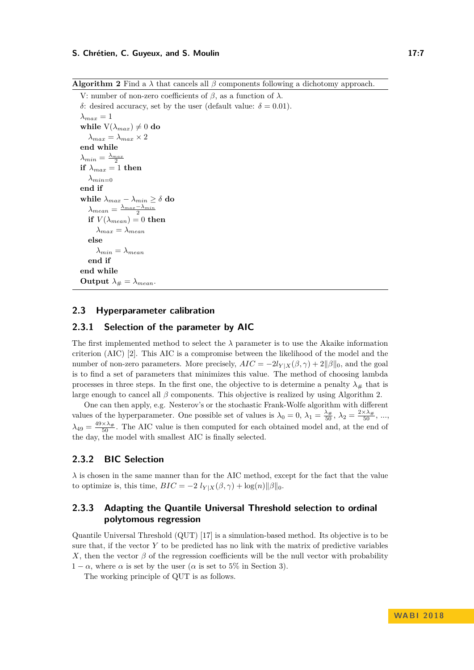#### **S. Chrétien, C. Guyeux, and S. Moulin 17:7** 2008 17:7

```
V: number of non-zero coefficients of β, as a function of λ.
δ: desired accuracy, set by the user (default value: δ = 0.01).
\lambda_{max} = 1while V(\lambda_{max}) \neq 0 do
   \lambda_{max} = \lambda_{max} \times 2end while
\lambda_{min} = \frac{\lambda_{max}}{2}if \lambda_{max} = 1 then
   λ_{min=0}end if
while \lambda_{max} - \lambda_{min} \ge \delta do
    \lambda_{mean} = \frac{\lambda_{max} - \lambda_{min}}{2}if V(\lambda_{mean}) = 0 then
       \lambda_{max} = \lambda_{mean}else
       \lambda_{min} = \lambda_{mean}end if
end while
Output \lambda_{\#} = \lambda_{mean}.
```
## **2.3 Hyperparameter calibration**

# <span id="page-6-1"></span>**2.3.1 Selection of the parameter by AIC**

The first implemented method to select the  $\lambda$  parameter is to use the Akaike information criterion (AIC) [\[2\]](#page-11-3). This AIC is a compromise between the likelihood of the model and the number of non-zero parameters. More precisely,  $AIC = -2l_{Y|X}(\beta, \gamma) + 2||\beta||_0$ , and the goal is to find a set of parameters that minimizes this value. The method of choosing lambda processes in three steps. In the first one, the objective to is determine a penalty  $\lambda_{\#}$  that is large enough to cancel all *β* components. This objective is realized by using Algorithm [2.](#page-6-0)

One can then apply, e.g. Nesterov's or the stochastic Frank-Wolfe algorithm with different values of the hyperparameter. One possible set of values is  $\lambda_0 = 0$ ,  $\lambda_1 = \frac{\lambda_{\#}}{50}$ ,  $\lambda_2 = \frac{2 \times \lambda_{\#}}{50}$ , ...,  $\lambda_{49} = \frac{49 \times \lambda_{\#}}{50}$ . The AIC value is then computed for each obtained model and, at the end of the day, the model with smallest AIC is finally selected.

# <span id="page-6-2"></span>**2.3.2 BIC Selection**

 $\lambda$  is chosen in the same manner than for the AIC method, except for the fact that the value to optimize is, this time,  $BIC = -2 l_{Y|X}(\beta, \gamma) + \log(n) ||\beta||_0$ .

# <span id="page-6-3"></span>**2.3.3 Adapting the Quantile Universal Threshold selection to ordinal polytomous regression**

Quantile Universal Threshold (QUT) [\[17\]](#page-11-14) is a simulation-based method. Its objective is to be sure that, if the vector  $Y$  to be predicted has no link with the matrix of predictive variables *X*, then the vector  $\beta$  of the regression coefficients will be the null vector with probability  $1 - \alpha$ , where  $\alpha$  is set by the user ( $\alpha$  is set to 5% in Section [3\)](#page-7-0).

The working principle of QUT is as follows.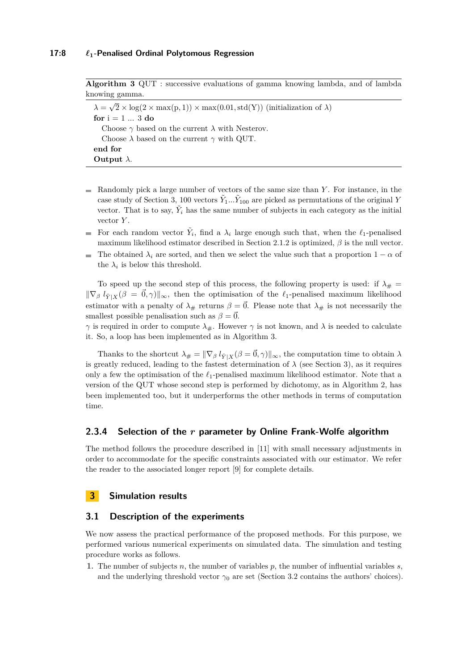<span id="page-7-1"></span>**Algorithm 3** QUT : successive evaluations of gamma knowing lambda, and of lambda knowing gamma.  $\lambda =$ √  $(2 \times \log(2 \times \max(p, 1)) \times \max(0.01, \text{std}(Y))$  (initialization of  $\lambda$ ) **for**  $i = 1 ... 3$  **do** 

Choose *γ* based on the current *λ* with Nesterov. Choose  $\lambda$  based on the current  $\gamma$  with QUT. **end for Output** *λ*.

- Randomly pick a large number of vectors of the same size than *Y* . For instance, in the case study of Section [3,](#page-7-0) 100 vectors  $\tilde{Y}_1...\tilde{Y}_{100}$  are picked as permutations of the original *Y* vector. That is to say,  $\tilde{Y}_i$  has the same number of subjects in each category as the initial vector *Y* .
- For each random vector  $\tilde{Y}_i$ , find a  $\lambda_i$  large enough such that, when the  $\ell_1$ -penalised  $\overline{\phantom{a}}$ maximum likelihood estimator described in Section [2.1.2](#page-3-0) is optimized, *β* is the null vector.
- $\blacksquare$  The obtained  $\lambda_i$  are sorted, and then we select the value such that a proportion 1 − *α* of the  $\lambda_i$  is below this threshold.

To speed up the second step of this process, the following property is used: if  $\lambda_{\#}$  =  $\|\nabla_\beta \ell_{\tilde{Y}|\tilde{X}}(\beta = \vec{0}, \gamma)\|_\infty$ , then the optimisation of the  $\ell_1$ -penalised maximum likelihood estimator with a penalty of  $\lambda_{\#}$  returns  $\beta = \vec{0}$ . Please note that  $\lambda_{\#}$  is not necessarily the smallest possible penalisation such as  $\beta = 0$ .

*γ* is required in order to compute  $\lambda_{\#}$ . However *γ* is not known, and *λ* is needed to calculate it. So, a loop has been implemented as in Algorithm [3.](#page-7-1)

Thanks to the shortcut  $\lambda_{\#} = ||\nabla_{\beta} l_{\tilde{Y}|X}(\beta = \vec{0}, \gamma)||_{\infty}$ , the computation time to obtain  $\lambda$ is greatly reduced, leading to the fastest determination of  $\lambda$  (see Section [3\)](#page-7-0), as it requires only a few the optimisation of the  $\ell_1$ -penalised maximum likelihood estimator. Note that a version of the QUT whose second step is performed by dichotomy, as in Algorithm [2,](#page-6-0) has been implemented too, but it underperforms the other methods in terms of computation time.

# <span id="page-7-2"></span>**2.3.4 Selection of the** *r* **parameter by Online Frank-Wolfe algorithm**

The method follows the procedure described in [\[11\]](#page-11-12) with small necessary adjustments in order to accommodate for the specific constraints associated with our estimator. We refer the reader to the associated longer report [\[9\]](#page-11-21) for complete details.

## <span id="page-7-0"></span>**3 Simulation results**

## **3.1 Description of the experiments**

We now assess the practical performance of the proposed methods. For this purpose, we performed various numerical experiments on simulated data. The simulation and testing procedure works as follows.

**1.** The number of subjects *n*, the number of variables *p*, the number of influential variables *s*, and the underlying threshold vector  $\gamma_0$  are set (Section [3.2](#page-8-0) contains the authors' choices).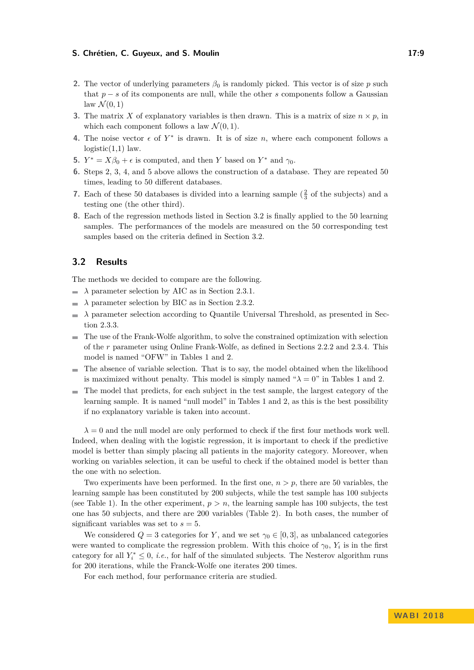#### **S. Chrétien, C. Guyeux, and S. Moulin 17:9**

- **2.** The vector of underlying parameters  $\beta_0$  is randomly picked. This vector is of size *p* such that *p* − *s* of its components are null, while the other *s* components follow a Gaussian  $\text{law } \mathcal{N}(0,1)$
- **3.** The matrix *X* of explanatory variables is then drawn. This is a matrix of size  $n \times p$ , in which each component follows a law  $\mathcal{N}(0, 1)$ .
- **4.** The noise vector  $\epsilon$  of  $Y^*$  is drawn. It is of size *n*, where each component follows a  $logistic(1,1)$  law.
- **5.**  $Y^* = X\beta_0 + \epsilon$  is computed, and then *Y* based on  $Y^*$  and  $\gamma_0$ .
- **6.** Steps 2, 3, 4, and 5 above allows the construction of a database. They are repeated 50 times, leading to 50 different databases.
- **7.** Each of these 50 databases is divided into a learning sample  $(\frac{2}{3}$  of the subjects) and a testing one (the other third).
- **8.** Each of the regression methods listed in Section [3.2](#page-8-0) is finally applied to the 50 learning samples. The performances of the models are measured on the 50 corresponding test samples based on the criteria defined in Section [3.2.](#page-8-0)

## <span id="page-8-0"></span>**3.2 Results**

The methods we decided to compare are the following.

- $\lambda$  parameter selection by AIC as in Section [2.3.1.](#page-6-1)
- *λ* parameter selection by BIC as in Section [2.3.2.](#page-6-2)
- *λ* parameter selection according to Quantile Universal Threshold, as presented in Sec- $\overline{a}$ tion [2.3.3.](#page-6-3)
- The use of the Frank-Wolfe algorithm, to solve the constrained optimization with selection of the *r* parameter using Online Frank-Wolfe, as defined in Sections [2.2.2](#page-5-1) and [2.3.4.](#page-7-2) This model is named "OFW" in Tables [1](#page-9-0) and [2.](#page-10-0)
- $\blacksquare$  The absence of variable selection. That is to say, the model obtained when the likelihood is maximized without penalty. This model is simply named " $\lambda = 0$ " in Tables [1](#page-9-0) and [2.](#page-10-0)
- The model that predicts, for each subject in the test sample, the largest category of the learning sample. It is named "null model" in Tables [1](#page-9-0) and [2,](#page-10-0) as this is the best possibility if no explanatory variable is taken into account.

 $\lambda = 0$  and the null model are only performed to check if the first four methods work well. Indeed, when dealing with the logistic regression, it is important to check if the predictive model is better than simply placing all patients in the majority category. Moreover, when working on variables selection, it can be useful to check if the obtained model is better than the one with no selection.

Two experiments have been performed. In the first one,  $n > p$ , there are 50 variables, the learning sample has been constituted by 200 subjects, while the test sample has 100 subjects (see Table [1\)](#page-9-0). In the other experiment,  $p > n$ , the learning sample has 100 subjects, the test one has 50 subjects, and there are 200 variables (Table [2\)](#page-10-0). In both cases, the number of significant variables was set to  $s = 5$ .

We considered  $Q = 3$  categories for *Y*, and we set  $\gamma_0 \in [0,3]$ , as unbalanced categories were wanted to complicate the regression problem. With this choice of  $\gamma_0$ ,  $Y_i$  is in the first category for all  $Y_i^* \leq 0$ , *i.e.*, for half of the simulated subjects. The Nesterov algorithm runs for 200 iterations, while the Franck-Wolfe one iterates 200 times.

For each method, four performance criteria are studied.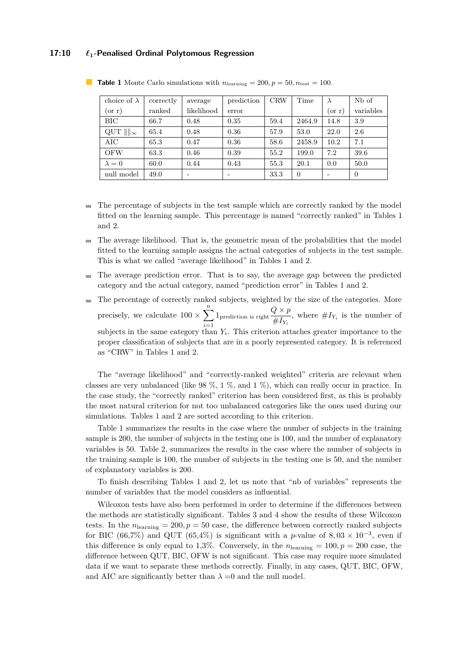#### **17:10** *`***1-Penalised Ordinal Polytomous Regression**

| choice of $\lambda$ | correctly | average    | prediction | <b>CRW</b> | Time     |             | N <sub>b</sub> of |
|---------------------|-----------|------------|------------|------------|----------|-------------|-------------------|
| $(\text{or } r)$    | ranked    | likelihood | error      |            |          | $\sigma(r)$ | variables         |
| BIC                 | 66.7      | 0.48       | 0.35       | 59.4       | 2464.9   | 14.8        | 3.9               |
| QUT $\ \ _{\infty}$ | 65.4      | 0.48       | 0.36       | 57.9       | 53.0     | 22.0        | 2.6               |
| AIC                 | 65.3      | 0.47       | 0.36       | 58.6       | 2458.9   | 10.2        | 7.1               |
| <b>OFW</b>          | 63.3      | 0.46       | 0.39       | 55.2       | 199.0    | 7.2         | 39.6              |
| $\lambda = 0$       | 60.0      | 0.44       | 0.43       | 55.3       | 20.1     | 0.0         | 50.0              |
| null model          | 49.0      |            |            | 33.3       | $\theta$ |             | $\theta$          |

<span id="page-9-0"></span>**Table 1** Monte Carlo simulations with  $n_{\text{learning}} = 200, p = 50, n_{\text{test}} = 100$ .

- The percentage of subjects in the test sample which are correctly ranked by the model  $\blacksquare$ fitted on the learning sample. This percentage is named "correctly ranked" in Tables [1](#page-9-0) and [2.](#page-10-0)
- The average likelihood. That is, the geometric mean of the probabilities that the model fitted to the learning sample assigns the actual categories of subjects in the test sample. This is what we called "average likelihood" in Tables [1](#page-9-0) and [2.](#page-10-0)
- The average prediction error. That is to say, the average gap between the predicted  $\blacksquare$ category and the actual category, named "prediction error" in Tables [1](#page-9-0) and [2.](#page-10-0)
- The percentage of correctly ranked subjects, weighted by the size of the categories. More  $\mathbf{r}$ precisely, we calculate  $100 \times \sum_{n=1}^{\infty}$  $1_{\text{prediction is right}} \frac{Q \times p}{U I}$  $\frac{Z \cdot Y}{\#I_{Y_i}}$ , where  $\#I_{Y_i}$  is the number of *i*=1 subjects in the same category than  $Y_i$ . This criterion attaches greater importance to the proper classification of subjects that are in a poorly represented category. It is referenced as "CRW" in Tables [1](#page-9-0) and [2.](#page-10-0)

The "average likelihood" and "correctly-ranked weighted" criteria are relevant when classes are very unbalanced (like  $98\%$ ,  $1\%$ , and  $1\%$ ), which can really occur in practice. In the case study, the "correctly ranked" criterion has been considered first, as this is probably the most natural criterion for not too unbalanced categories like the ones used during our simulations. Tables [1](#page-9-0) and [2](#page-10-0) are sorted according to this criterion.

Table [1](#page-9-0) summarizes the results in the case where the number of subjects in the training sample is 200, the number of subjects in the testing one is 100, and the number of explanatory variables is 50. Table [2,](#page-10-0) summarizes the results in the case where the number of subjects in the training sample is 100, the number of subjects in the testing one is 50, and the number of explanatory variables is 200.

To finish describing Tables [1](#page-9-0) and [2,](#page-10-0) let us note that "nb of variables" represents the number of variables that the model considers as influential.

Wilcoxon tests have also been performed in order to determine if the differences between the methods are statistically significant. Tables [3](#page-10-1) and [4](#page-10-2) show the results of these Wilcoxon tests. In the  $n_{\text{learning}} = 200, p = 50$  case, the difference between correctly ranked subjects for BIC (66,7%) and QUT (65,4%) is significant with a *p*-value of  $8,03 \times 10^{-3}$ , even if this difference is only equal to 1,3%. Conversely, in the  $n_{\text{learning}} = 100, p = 200$  case, the difference between QUT, BIC, OFW is not significant. This case may require more simulated data if we want to separate these methods correctly. Finally, in any cases, QUT, BIC, OFW, and AIC are significantly better than  $\lambda = 0$  and the null model.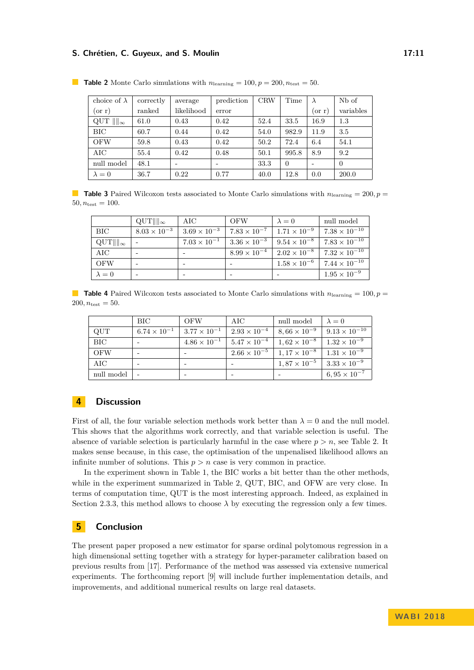#### **S. Chrétien, C. Guyeux, and S. Moulin 17:11** 17:11

| choice of $\lambda$ | correctly | average    | prediction | <b>CRW</b> | Time     |        | N <sub>b</sub> of |
|---------------------|-----------|------------|------------|------------|----------|--------|-------------------|
| $(\text{or r})$     | ranked    | likelihood | error      |            |          | (or r) | variables         |
| QUT $\ \ _{\infty}$ | 61.0      | 0.43       | 0.42       | 52.4       | 33.5     | 16.9   | 1.3               |
| BIC                 | 60.7      | 0.44       | 0.42       | 54.0       | 982.9    | 11.9   | 3.5               |
| <b>OFW</b>          | 59.8      | 0.43       | 0.42       | 50.2       | 72.4     | 6.4    | 54.1              |
| AIC                 | 55.4      | 0.42       | 0.48       | 50.1       | 995.8    | 8.9    | 9.2               |
| null model          | 48.1      |            |            | 33.3       | $\Omega$ |        | $\Omega$          |
| $\lambda = 0$       | 36.7      | 0.22       | 0.77       | 40.0       | 12.8     | 0.0    | 200.0             |

<span id="page-10-0"></span>**Table 2** Monte Carlo simulations with  $n_{\text{learning}} = 100, p = 200, n_{\text{test}} = 50$ .

<span id="page-10-1"></span>**Table 3** Paired Wilcoxon tests associated to Monte Carlo simulations with  $n_{\text{learning}} = 200, p =$  $50, n_{\text{test}} = 100.$ 

|                                | $\mathrm{QUT}$      $_{\infty}$ | $\rm AIC$             | <b>OFW</b>                                    | $\lambda = 0$           | null model             |
|--------------------------------|---------------------------------|-----------------------|-----------------------------------------------|-------------------------|------------------------|
| <b>BIC</b>                     | $8.03 \times 10^{-3}$           | $3.69 \times 10^{-3}$ | $7.83 \times 10^{-7}$   $1.71 \times 10^{-9}$ |                         | $7.38 \times 10^{-10}$ |
| $\mathrm{QUT}$     $_{\infty}$ |                                 | $7.03 \times 10^{-1}$ | $3.36 \times 10^{-3}$   $9.54 \times 10^{-8}$ |                         | $7.83 \times 10^{-10}$ |
| AIC.                           |                                 |                       | $8.99 \times 10^{-4}$                         | $1.2.02 \times 10^{-8}$ | $7.32 \times 10^{-10}$ |
| <b>OFW</b>                     |                                 |                       |                                               | $1.58 \times 10^{-6}$   | $7.44 \times 10^{-10}$ |
| $\lambda = 0$                  |                                 |                       |                                               |                         | $1.95 \times 10^{-9}$  |

<span id="page-10-2"></span>**Table 4** Paired Wilcoxon tests associated to Monte Carlo simulations with  $n_{\text{learning}} = 100, p =$  $200, n_{\text{test}} = 50.$ 

|            | $\rm BIC$             | <b>OFW</b>            | AIC                   | null model                                    | $\lambda = 0$         |
|------------|-----------------------|-----------------------|-----------------------|-----------------------------------------------|-----------------------|
| QUT        | $6.74 \times 10^{-1}$ | $3.77 \times 10^{-1}$ | $2.93 \times 10^{-4}$ | $8,66 \times 10^{-9}$ 9.13 $\times 10^{-10}$  |                       |
| <b>BIC</b> |                       | $4.86 \times 10^{-1}$ | $5.47 \times 10^{-4}$ | $1,62 \times 10^{-8}$   $1.32 \times 10^{-9}$ |                       |
| <b>OFW</b> |                       |                       | $2.66 \times 10^{-5}$ | $1,17 \times 10^{-8}$                         | $1.31 \times 10^{-9}$ |
| AIC        |                       |                       |                       | $1,87 \times 10^{-5}$                         | $3.33 \times 10^{-9}$ |
| null model |                       |                       |                       |                                               | $6,95 \times 10^{-7}$ |

## **4 Discussion**

First of all, the four variable selection methods work better than  $\lambda = 0$  and the null model. This shows that the algorithms work correctly, and that variable selection is useful. The absence of variable selection is particularly harmful in the case where  $p > n$ , see Table [2.](#page-10-0) It makes sense because, in this case, the optimisation of the unpenalised likelihood allows an infinite number of solutions. This  $p > n$  case is very common in practice.

In the experiment shown in Table [1,](#page-9-0) the BIC works a bit better than the other methods, while in the experiment summarized in Table [2,](#page-10-0) QUT, BIC, and OFW are very close. In terms of computation time, QUT is the most interesting approach. Indeed, as explained in Section [2.3.3,](#page-6-3) this method allows to choose  $\lambda$  by executing the regression only a few times.

#### **5 Conclusion**

The present paper proposed a new estimator for sparse ordinal polytomous regression in a high dimensional setting together with a strategy for hyper-parameter calibration based on previous results from [\[17\]](#page-11-14). Performance of the method was assessed via extensive numerical experiments. The forthcoming report [\[9\]](#page-11-21) will include further implementation details, and improvements, and additional numerical results on large real datasets.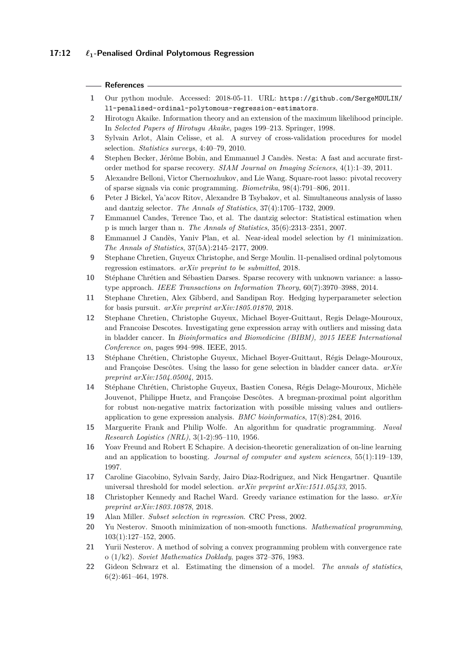#### **References**

- <span id="page-11-16"></span>**1** Our python module. Accessed: 2018-05-11. URL: [https://github.com/SergeMOULIN/](https://github.com/SergeMOULIN/l1-penalised-ordinal-polytomous-regression-estimators) [l1-penalised-ordinal-polytomous-regression-estimators](https://github.com/SergeMOULIN/l1-penalised-ordinal-polytomous-regression-estimators).
- <span id="page-11-3"></span>**2** Hirotogu Akaike. Information theory and an extension of the maximum likelihood principle. In *Selected Papers of Hirotugu Akaike*, pages 199–213. Springer, 1998.
- <span id="page-11-11"></span>**3** Sylvain Arlot, Alain Celisse, et al. A survey of cross-validation procedures for model selection. *Statistics surveys*, 4:40–79, 2010.
- <span id="page-11-19"></span>**4** Stephen Becker, Jérôme Bobin, and Emmanuel J Candès. Nesta: A fast and accurate firstorder method for sparse recovery. *SIAM Journal on Imaging Sciences*, 4(1):1–39, 2011.
- <span id="page-11-10"></span>**5** Alexandre Belloni, Victor Chernozhukov, and Lie Wang. Square-root lasso: pivotal recovery of sparse signals via conic programming. *Biometrika*, 98(4):791–806, 2011.
- <span id="page-11-8"></span>**6** Peter J Bickel, Ya'acov Ritov, Alexandre B Tsybakov, et al. Simultaneous analysis of lasso and dantzig selector. *The Annals of Statistics*, 37(4):1705–1732, 2009.
- <span id="page-11-6"></span>**7** Emmanuel Candes, Terence Tao, et al. The dantzig selector: Statistical estimation when p is much larger than n. *The Annals of Statistics*, 35(6):2313–2351, 2007.
- <span id="page-11-7"></span>**8** Emmanuel J Candès, Yaniv Plan, et al. Near-ideal model selection by  $\ell_1$  minimization. *The Annals of Statistics*, 37(5A):2145–2177, 2009.
- <span id="page-11-21"></span>**9** Stephane Chretien, Guyeux Christophe, and Serge Moulin. l1-penalised ordinal polytomous regression estimators. *arXiv preprint to be submitted*, 2018.
- <span id="page-11-9"></span>**10** Stéphane Chrétien and Sébastien Darses. Sparse recovery with unknown variance: a lassotype approach. *IEEE Transactions on Information Theory*, 60(7):3970–3988, 2014.
- <span id="page-11-12"></span>**11** Stephane Chretien, Alex Gibberd, and Sandipan Roy. Hedging hyperparameter selection for basis pursuit. *arXiv preprint arXiv:1805.01870*, 2018.
- <span id="page-11-0"></span>**12** Stephane Chretien, Christophe Guyeux, Michael Boyer-Guittaut, Regis Delage-Mouroux, and Francoise Descotes. Investigating gene expression array with outliers and missing data in bladder cancer. In *Bioinformatics and Biomedicine (BIBM), 2015 IEEE International Conference on*, pages 994–998. IEEE, 2015.
- <span id="page-11-1"></span>**13** Stéphane Chrétien, Christophe Guyeux, Michael Boyer-Guittaut, Régis Delage-Mouroux, and Françoise Descôtes. Using the lasso for gene selection in bladder cancer data. *arXiv preprint arXiv:1504.05004*, 2015.
- <span id="page-11-2"></span>**14** Stéphane Chrétien, Christophe Guyeux, Bastien Conesa, Régis Delage-Mouroux, Michèle Jouvenot, Philippe Huetz, and Françoise Descôtes. A bregman-proximal point algorithm for robust non-negative matrix factorization with possible missing values and outliersapplication to gene expression analysis. *BMC bioinformatics*, 17(8):284, 2016.
- <span id="page-11-20"></span>**15** Marguerite Frank and Philip Wolfe. An algorithm for quadratic programming. *Naval Research Logistics (NRL)*, 3(1-2):95–110, 1956.
- <span id="page-11-13"></span>**16** Yoav Freund and Robert E Schapire. A decision-theoretic generalization of on-line learning and an application to boosting. *Journal of computer and system sciences*, 55(1):119–139, 1997.
- <span id="page-11-14"></span>**17** Caroline Giacobino, Sylvain Sardy, Jairo Diaz-Rodriguez, and Nick Hengartner. Quantile universal threshold for model selection. *arXiv preprint arXiv:1511.05433*, 2015.
- <span id="page-11-15"></span>**18** Christopher Kennedy and Rachel Ward. Greedy variance estimation for the lasso. *arXiv preprint arXiv:1803.10878*, 2018.
- <span id="page-11-5"></span>**19** Alan Miller. *Subset selection in regression*. CRC Press, 2002.
- <span id="page-11-18"></span>**20** Yu Nesterov. Smooth minimization of non-smooth functions. *Mathematical programming*, 103(1):127–152, 2005.
- <span id="page-11-17"></span>**21** Yurii Nesterov. A method of solving a convex programming problem with convergence rate o (1/k2). *Soviet Mathematics Doklady*, pages 372–376, 1983.
- <span id="page-11-4"></span>**22** Gideon Schwarz et al. Estimating the dimension of a model. *The annals of statistics*, 6(2):461–464, 1978.